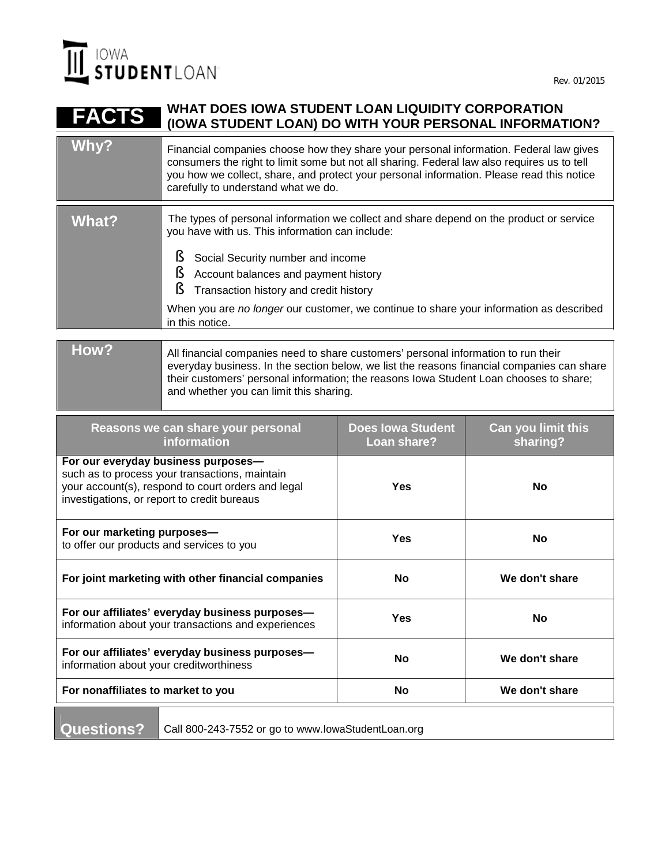

#### **FACTS WHAT DOES IOWA STUDENT LOAN LIQUIDITY CORPORATION (IOWA STUDENT LOAN) DO WITH YOUR PERSONAL INFORMATION?**

| Why?         | Financial companies choose how they share your personal information. Federal law gives<br>consumers the right to limit some but not all sharing. Federal law also requires us to tell<br>you how we collect, share, and protect your personal information. Please read this notice<br>carefully to understand what we do.                                                       |
|--------------|---------------------------------------------------------------------------------------------------------------------------------------------------------------------------------------------------------------------------------------------------------------------------------------------------------------------------------------------------------------------------------|
| What?        | The types of personal information we collect and share depend on the product or service<br>you have with us. This information can include:<br>Social Security number and income<br>Account balances and payment history<br>Transaction history and credit history<br>When you are no longer our customer, we continue to share your information as described<br>in this notice. |
| <u>רוגות</u> |                                                                                                                                                                                                                                                                                                                                                                                 |

### **How?** All financial companies need to share customers' personal information to run their everyday business. In the section below, we list the reasons financial companies can share their customers' personal information; the reasons Iowa Student Loan chooses to share; and whether you can limit this sharing.

| Reasons we can share your personal<br><b>information</b>                                                                                                                                   | <b>Does lowa Student</b><br>Loan share? | Can you limit this<br>sharing? |
|--------------------------------------------------------------------------------------------------------------------------------------------------------------------------------------------|-----------------------------------------|--------------------------------|
| For our everyday business purposes-<br>such as to process your transactions, maintain<br>your account(s), respond to court orders and legal<br>investigations, or report to credit bureaus | Yes                                     | <b>No</b>                      |
| For our marketing purposes-<br>to offer our products and services to you                                                                                                                   | Yes                                     | <b>No</b>                      |
| For joint marketing with other financial companies                                                                                                                                         | <b>No</b>                               | We don't share                 |
| For our affiliates' everyday business purposes-<br>information about your transactions and experiences                                                                                     | Yes                                     | No                             |
| For our affiliates' everyday business purposes-<br>information about your creditworthiness                                                                                                 | <b>No</b>                               | We don't share                 |
| For nonaffiliates to market to you                                                                                                                                                         | <b>No</b>                               | We don't share                 |

Questions? | Call 800-243-7552 or go to www.lowaStudentLoan.org